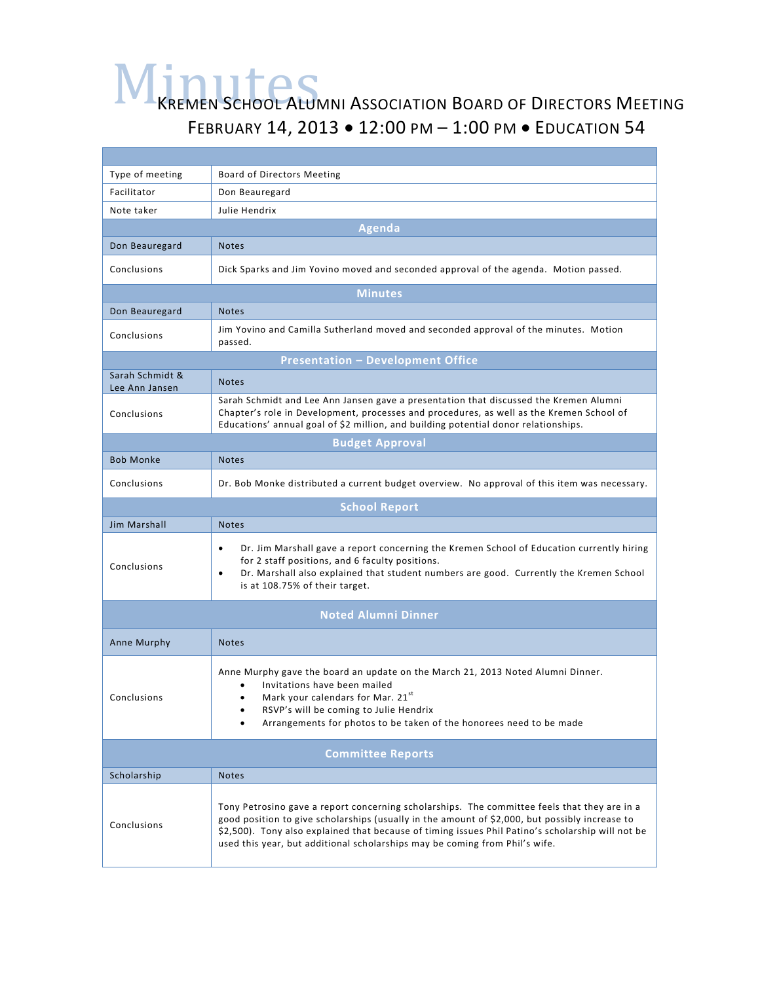## MINUTES KREMEN SCHOOL ALUMNI ASSOCIATION BOARD OF DIRECTORS MEETING FEBRUARY 14, 2013 • 12:00 PM – 1:00 PM • EDUCATION 54

| Type of meeting                          | Board of Directors Meeting                                                                                                                                                                                                                                                                                                                                                         |  |
|------------------------------------------|------------------------------------------------------------------------------------------------------------------------------------------------------------------------------------------------------------------------------------------------------------------------------------------------------------------------------------------------------------------------------------|--|
| Facilitator                              | Don Beauregard                                                                                                                                                                                                                                                                                                                                                                     |  |
| Note taker                               | Julie Hendrix                                                                                                                                                                                                                                                                                                                                                                      |  |
| <b>Agenda</b>                            |                                                                                                                                                                                                                                                                                                                                                                                    |  |
| Don Beauregard                           | <b>Notes</b>                                                                                                                                                                                                                                                                                                                                                                       |  |
| Conclusions                              | Dick Sparks and Jim Yovino moved and seconded approval of the agenda. Motion passed.                                                                                                                                                                                                                                                                                               |  |
| <b>Minutes</b>                           |                                                                                                                                                                                                                                                                                                                                                                                    |  |
| Don Beauregard                           | <b>Notes</b>                                                                                                                                                                                                                                                                                                                                                                       |  |
| Conclusions                              | Jim Yovino and Camilla Sutherland moved and seconded approval of the minutes. Motion<br>passed.                                                                                                                                                                                                                                                                                    |  |
| <b>Presentation - Development Office</b> |                                                                                                                                                                                                                                                                                                                                                                                    |  |
| Sarah Schmidt &<br>Lee Ann Jansen        | <b>Notes</b>                                                                                                                                                                                                                                                                                                                                                                       |  |
| Conclusions                              | Sarah Schmidt and Lee Ann Jansen gave a presentation that discussed the Kremen Alumni<br>Chapter's role in Development, processes and procedures, as well as the Kremen School of<br>Educations' annual goal of \$2 million, and building potential donor relationships.                                                                                                           |  |
| <b>Budget Approval</b>                   |                                                                                                                                                                                                                                                                                                                                                                                    |  |
| <b>Bob Monke</b>                         | <b>Notes</b>                                                                                                                                                                                                                                                                                                                                                                       |  |
| Conclusions                              | Dr. Bob Monke distributed a current budget overview. No approval of this item was necessary.                                                                                                                                                                                                                                                                                       |  |
| <b>School Report</b>                     |                                                                                                                                                                                                                                                                                                                                                                                    |  |
| <b>Jim Marshall</b>                      | <b>Notes</b>                                                                                                                                                                                                                                                                                                                                                                       |  |
| Conclusions                              | Dr. Jim Marshall gave a report concerning the Kremen School of Education currently hiring<br>$\bullet$<br>for 2 staff positions, and 6 faculty positions.<br>Dr. Marshall also explained that student numbers are good. Currently the Kremen School<br>$\bullet$<br>is at 108.75% of their target.                                                                                 |  |
| <b>Noted Alumni Dinner</b>               |                                                                                                                                                                                                                                                                                                                                                                                    |  |
| Anne Murphy                              | <b>Notes</b>                                                                                                                                                                                                                                                                                                                                                                       |  |
| Conclusions                              | Anne Murphy gave the board an update on the March 21, 2013 Noted Alumni Dinner.<br>Invitations have been mailed<br>Mark your calendars for Mar. 21st<br>RSVP's will be coming to Julie Hendrix<br>Arrangements for photos to be taken of the honorees need to be made                                                                                                              |  |
| <b>Committee Reports</b>                 |                                                                                                                                                                                                                                                                                                                                                                                    |  |
| Scholarship                              | <b>Notes</b>                                                                                                                                                                                                                                                                                                                                                                       |  |
| Conclusions                              | Tony Petrosino gave a report concerning scholarships. The committee feels that they are in a<br>good position to give scholarships (usually in the amount of \$2,000, but possibly increase to<br>\$2,500). Tony also explained that because of timing issues Phil Patino's scholarship will not be<br>used this year, but additional scholarships may be coming from Phil's wife. |  |
|                                          |                                                                                                                                                                                                                                                                                                                                                                                    |  |